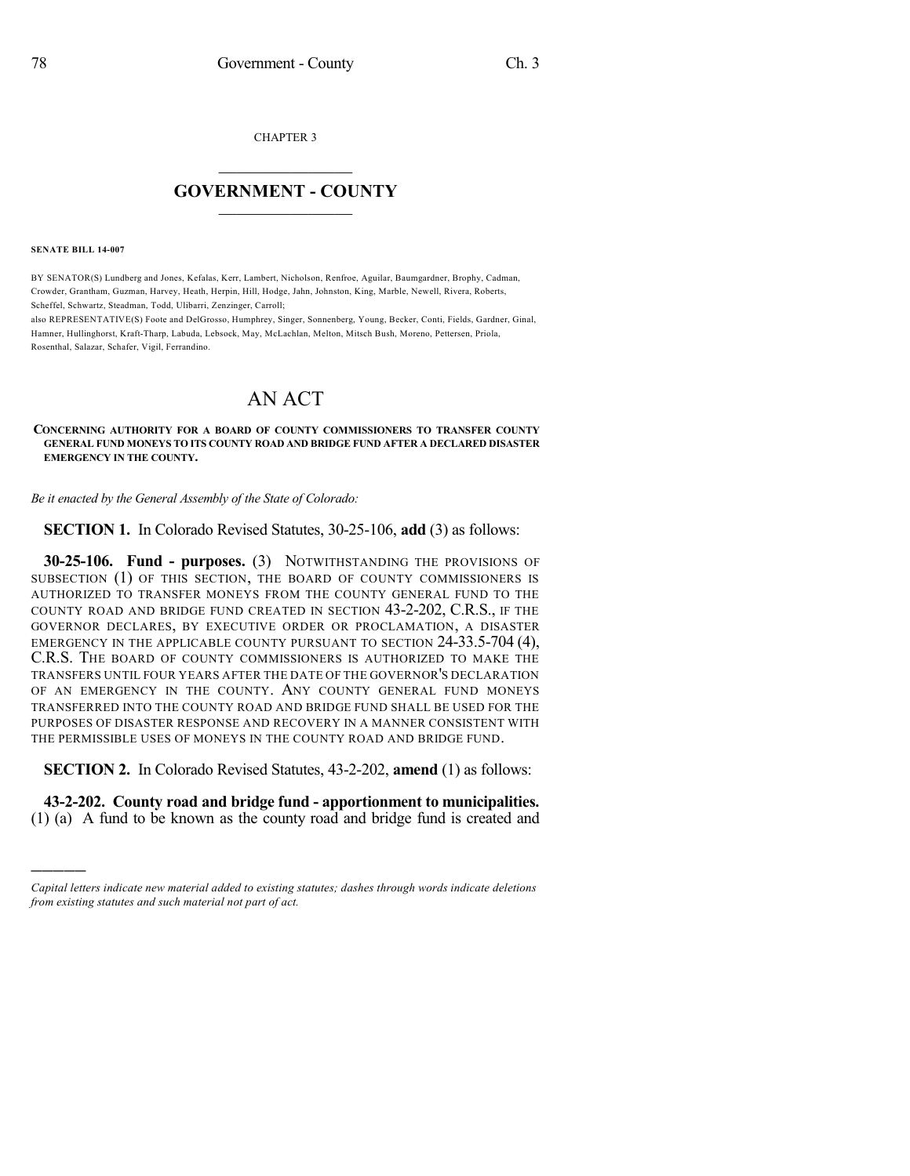CHAPTER 3

## $\mathcal{L}_\text{max}$  . The set of the set of the set of the set of the set of the set of the set of the set of the set of the set of the set of the set of the set of the set of the set of the set of the set of the set of the set **GOVERNMENT - COUNTY**  $\_$

**SENATE BILL 14-007**

)))))

BY SENATOR(S) Lundberg and Jones, Kefalas, Kerr, Lambert, Nicholson, Renfroe, Aguilar, Baumgardner, Brophy, Cadman, Crowder, Grantham, Guzman, Harvey, Heath, Herpin, Hill, Hodge, Jahn, Johnston, King, Marble, Newell, Rivera, Roberts, Scheffel, Schwartz, Steadman, Todd, Ulibarri, Zenzinger, Carroll;

also REPRESENTATIVE(S) Foote and DelGrosso, Humphrey, Singer, Sonnenberg, Young, Becker, Conti, Fields, Gardner, Ginal, Hamner, Hullinghorst, Kraft-Tharp, Labuda, Lebsock, May, McLachlan, Melton, Mitsch Bush, Moreno, Pettersen, Priola, Rosenthal, Salazar, Schafer, Vigil, Ferrandino.

## AN ACT

## **CONCERNING AUTHORITY FOR A BOARD OF COUNTY COMMISSIONERS TO TRANSFER COUNTY GENERAL FUND MONEYS TO ITS COUNTY ROAD AND BRIDGE FUND AFTER A DECLARED DISASTER EMERGENCY IN THE COUNTY.**

*Be it enacted by the General Assembly of the State of Colorado:*

**SECTION 1.** In Colorado Revised Statutes, 30-25-106, **add** (3) as follows:

**30-25-106. Fund - purposes.** (3) NOTWITHSTANDING THE PROVISIONS OF SUBSECTION (1) OF THIS SECTION, THE BOARD OF COUNTY COMMISSIONERS IS AUTHORIZED TO TRANSFER MONEYS FROM THE COUNTY GENERAL FUND TO THE COUNTY ROAD AND BRIDGE FUND CREATED IN SECTION 43-2-202, C.R.S., IF THE GOVERNOR DECLARES, BY EXECUTIVE ORDER OR PROCLAMATION, A DISASTER EMERGENCY IN THE APPLICABLE COUNTY PURSUANT TO SECTION 24-33.5-704 (4), C.R.S. THE BOARD OF COUNTY COMMISSIONERS IS AUTHORIZED TO MAKE THE TRANSFERS UNTIL FOUR YEARS AFTER THE DATE OF THE GOVERNOR'S DECLARATION OF AN EMERGENCY IN THE COUNTY. ANY COUNTY GENERAL FUND MONEYS TRANSFERRED INTO THE COUNTY ROAD AND BRIDGE FUND SHALL BE USED FOR THE PURPOSES OF DISASTER RESPONSE AND RECOVERY IN A MANNER CONSISTENT WITH THE PERMISSIBLE USES OF MONEYS IN THE COUNTY ROAD AND BRIDGE FUND.

**SECTION 2.** In Colorado Revised Statutes, 43-2-202, **amend** (1) as follows:

**43-2-202. County road and bridge fund - apportionment to municipalities.** (1) (a) A fund to be known as the county road and bridge fund is created and

*Capital letters indicate new material added to existing statutes; dashes through words indicate deletions from existing statutes and such material not part of act.*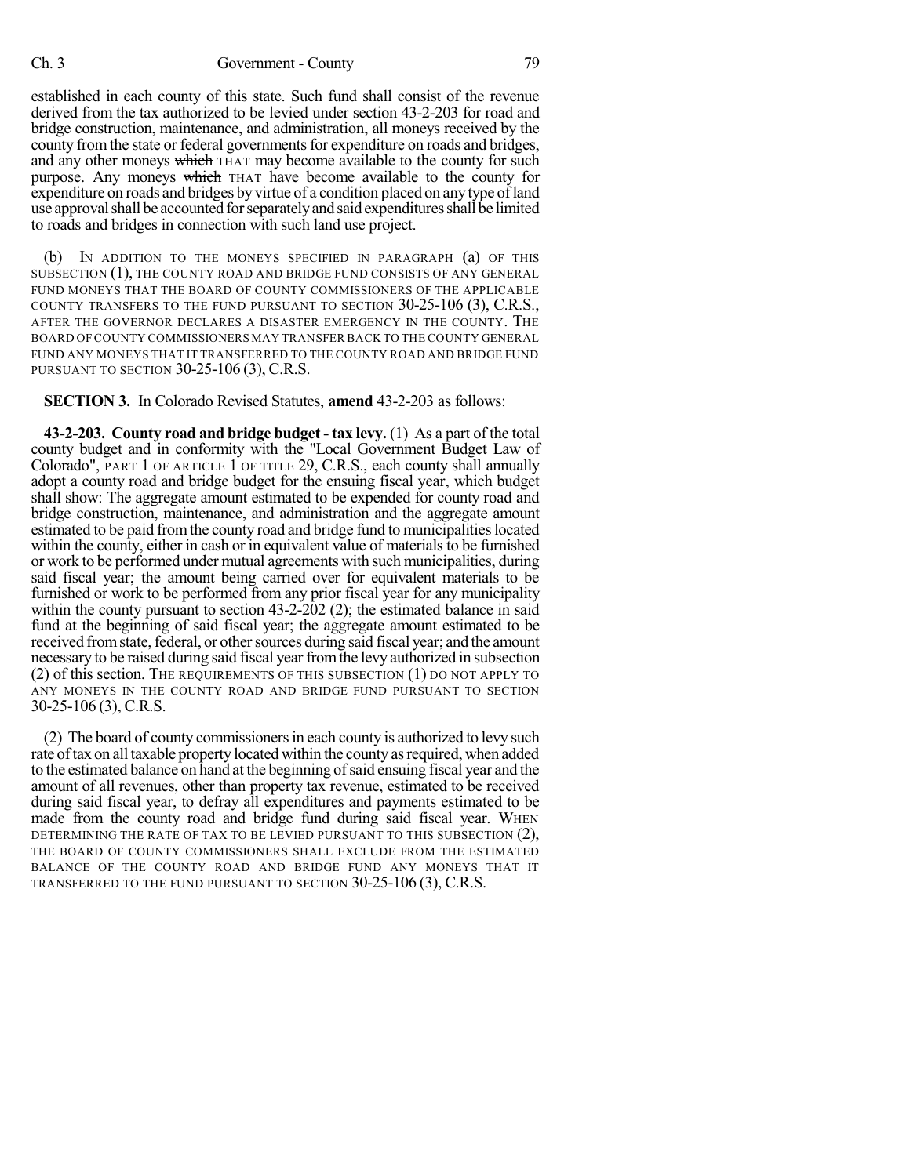established in each county of this state. Such fund shall consist of the revenue derived from the tax authorized to be levied under section 43-2-203 for road and bridge construction, maintenance, and administration, all moneys received by the county from the state or federal governments for expenditure on roads and bridges, and any other moneys which THAT may become available to the county for such purpose. Any moneys which THAT have become available to the county for expenditure on roads and bridges by virtue of a condition placed on any type of land use approval shall be accounted for separately and said expenditures shall be limited to roads and bridges in connection with such land use project.

(b) IN ADDITION TO THE MONEYS SPECIFIED IN PARAGRAPH (a) OF THIS SUBSECTION (1), THE COUNTY ROAD AND BRIDGE FUND CONSISTS OF ANY GENERAL FUND MONEYS THAT THE BOARD OF COUNTY COMMISSIONERS OF THE APPLICABLE COUNTY TRANSFERS TO THE FUND PURSUANT TO SECTION 30-25-106 (3), C.R.S., AFTER THE GOVERNOR DECLARES A DISASTER EMERGENCY IN THE COUNTY. THE BOARD OF COUNTY COMMISSIONERS MAY TRANSFER BACK TO THE COUNTY GENERAL FUND ANY MONEYS THAT IT TRANSFERRED TO THE COUNTY ROAD AND BRIDGE FUND PURSUANT TO SECTION 30-25-106 (3), C.R.S.

**SECTION 3.** In Colorado Revised Statutes, **amend** 43-2-203 as follows:

**43-2-203. County road and bridge budget - tax levy.** (1) As a part of the total county budget and in conformity with the "Local Government Budget Law of Colorado", PART 1 OF ARTICLE 1 OF TITLE 29, C.R.S., each county shall annually adopt a county road and bridge budget for the ensuing fiscal year, which budget shall show: The aggregate amount estimated to be expended for county road and bridge construction, maintenance, and administration and the aggregate amount estimated to be paid from the county road and bridge fund to municipalities located within the county, either in cash or in equivalent value of materials to be furnished or work to be performed under mutual agreements with such municipalities, during said fiscal year; the amount being carried over for equivalent materials to be furnished or work to be performed from any prior fiscal year for any municipality within the county pursuant to section 43-2-202 (2); the estimated balance in said fund at the beginning of said fiscal year; the aggregate amount estimated to be received from state, federal, or other sources during said fiscal year; and the amount necessary to be raised during said fiscal year fromthe levy authorized in subsection (2) of this section. THE REQUIREMENTS OF THIS SUBSECTION (1) DO NOT APPLY TO ANY MONEYS IN THE COUNTY ROAD AND BRIDGE FUND PURSUANT TO SECTION 30-25-106 (3), C.R.S.

(2) The board of county commissionersin each county is authorized to levy such rate of tax on all taxable property located within the county as required, when added to the estimated balance on hand at the beginning ofsaid ensuing fiscal year and the amount of all revenues, other than property tax revenue, estimated to be received during said fiscal year, to defray all expenditures and payments estimated to be made from the county road and bridge fund during said fiscal year. WHEN DETERMINING THE RATE OF TAX TO BE LEVIED PURSUANT TO THIS SUBSECTION (2), THE BOARD OF COUNTY COMMISSIONERS SHALL EXCLUDE FROM THE ESTIMATED BALANCE OF THE COUNTY ROAD AND BRIDGE FUND ANY MONEYS THAT IT TRANSFERRED TO THE FUND PURSUANT TO SECTION 30-25-106 (3), C.R.S.